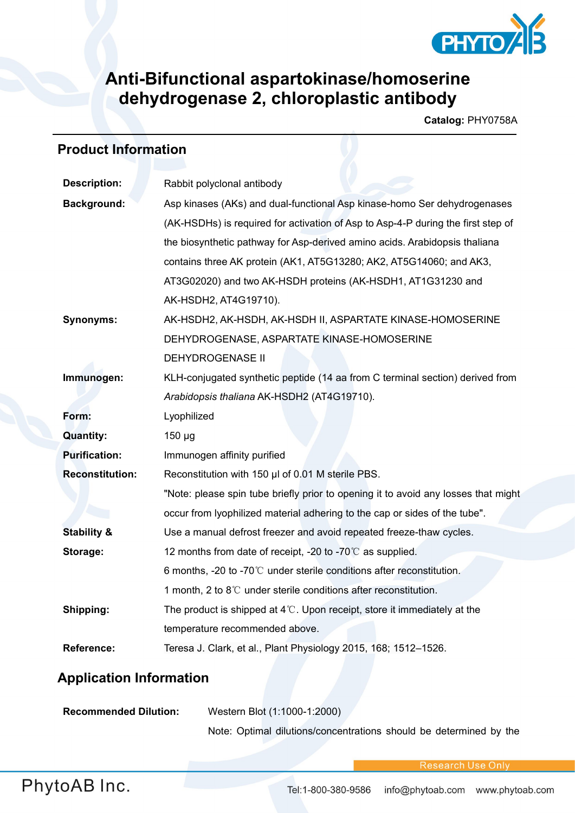

## **Anti-Bifunctional aspartokinase/homoserine dehydrogenase 2, chloroplastic antibody**

**Catalog:** PHY0758A

## **Product Information**

| <b>Description:</b>    | Rabbit polyclonal antibody                                                         |  |
|------------------------|------------------------------------------------------------------------------------|--|
| <b>Background:</b>     | Asp kinases (AKs) and dual-functional Asp kinase-homo Ser dehydrogenases           |  |
|                        | (AK-HSDHs) is required for activation of Asp to Asp-4-P during the first step of   |  |
|                        | the biosynthetic pathway for Asp-derived amino acids. Arabidopsis thaliana         |  |
|                        | contains three AK protein (AK1, AT5G13280; AK2, AT5G14060; and AK3,                |  |
|                        | AT3G02020) and two AK-HSDH proteins (AK-HSDH1, AT1G31230 and                       |  |
|                        | AK-HSDH2, AT4G19710).                                                              |  |
| <b>Synonyms:</b>       | AK-HSDH2, AK-HSDH, AK-HSDH II, ASPARTATE KINASE-HOMOSERINE                         |  |
|                        | DEHYDROGENASE, ASPARTATE KINASE-HOMOSERINE                                         |  |
|                        | <b>DEHYDROGENASE II</b>                                                            |  |
| Immunogen:             | KLH-conjugated synthetic peptide (14 aa from C terminal section) derived from      |  |
|                        | Arabidopsis thaliana AK-HSDH2 (AT4G19710).                                         |  |
| Form:                  | Lyophilized                                                                        |  |
| <b>Quantity:</b>       | $150 \mu g$                                                                        |  |
| <b>Purification:</b>   | Immunogen affinity purified                                                        |  |
| <b>Reconstitution:</b> | Reconstitution with 150 µl of 0.01 M sterile PBS.                                  |  |
|                        | "Note: please spin tube briefly prior to opening it to avoid any losses that might |  |
|                        | occur from lyophilized material adhering to the cap or sides of the tube".         |  |
| <b>Stability &amp;</b> | Use a manual defrost freezer and avoid repeated freeze-thaw cycles.                |  |
| Storage:               | 12 months from date of receipt, -20 to -70 $\degree$ C as supplied.                |  |
|                        | 6 months, -20 to -70 $\degree$ C under sterile conditions after reconstitution.    |  |
|                        | 1 month, 2 to 8°C under sterile conditions after reconstitution.                   |  |
| Shipping:              | The product is shipped at $4^{\circ}$ . Upon receipt, store it immediately at the  |  |
|                        | temperature recommended above.                                                     |  |
| <b>Reference:</b>      | Teresa J. Clark, et al., Plant Physiology 2015, 168; 1512-1526.                    |  |
|                        |                                                                                    |  |

## **Application Information**

| <b>Recommended Dilution:</b> | Western Blot (1:1000-1:2000)                                       |
|------------------------------|--------------------------------------------------------------------|
|                              | Note: Optimal dilutions/concentrations should be determined by the |

Research Use Onl